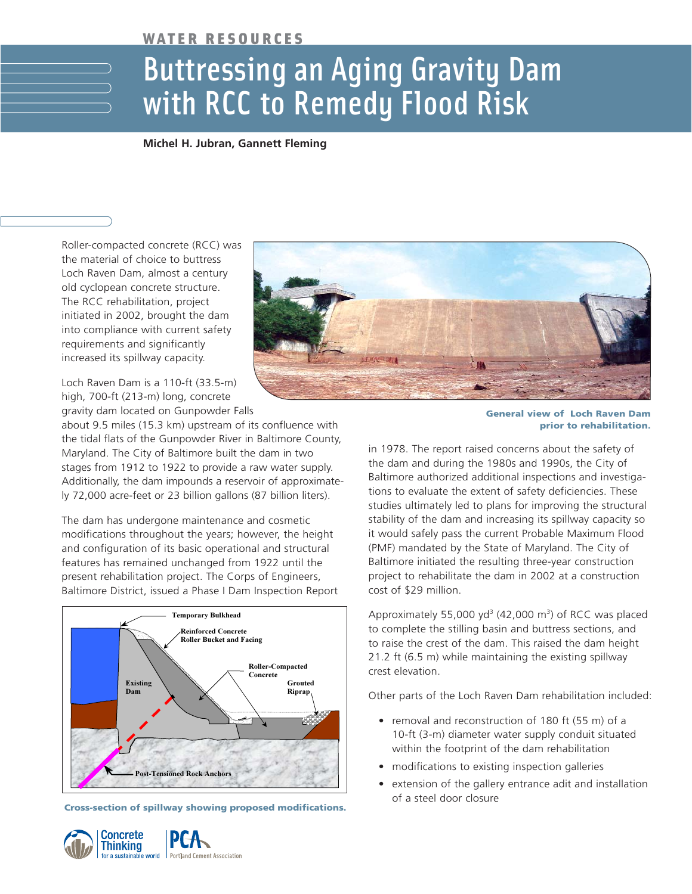## WATER RESOURCES

## Buttressing an Aging Gravity Dam with RCC to Remedy Flood Risk

**Michel H. Jubran, Gannett Fleming**

Roller-compacted concrete (RCC) was the material of choice to buttress Loch Raven Dam, almost a century old cyclopean concrete structure. The RCC rehabilitation, project initiated in 2002, brought the dam into compliance with current safety requirements and significantly increased its spillway capacity.

Loch Raven Dam is a 110-ft (33.5-m) high, 700-ft (213-m) long, concrete gravity dam located on Gunpowder Falls

about 9.5 miles (15.3 km) upstream of its confluence with the tidal flats of the Gunpowder River in Baltimore County, Maryland. The City of Baltimore built the dam in two stages from 1912 to 1922 to provide a raw water supply. Additionally, the dam impounds a reservoir of approximately 72,000 acre-feet or 23 billion gallons (87 billion liters).

The dam has undergone maintenance and cosmetic modifications throughout the years; however, the height and configuration of its basic operational and structural features has remained unchanged from 1922 until the present rehabilitation project. The Corps of Engineers, Baltimore District, issued a Phase I Dam Inspection Report



**Cross-section of spillway showing proposed modifications.**





**General view of Loch Raven Dam prior to rehabilitation.**

in 1978. The report raised concerns about the safety of the dam and during the 1980s and 1990s, the City of Baltimore authorized additional inspections and investigations to evaluate the extent of safety deficiencies. These studies ultimately led to plans for improving the structural stability of the dam and increasing its spillway capacity so it would safely pass the current Probable Maximum Flood (PMF) mandated by the State of Maryland. The City of Baltimore initiated the resulting three-year construction project to rehabilitate the dam in 2002 at a construction cost of \$29 million.

Approximately 55,000 yd<sup>3</sup> (42,000 m<sup>3</sup>) of RCC was placed to complete the stilling basin and buttress sections, and to raise the crest of the dam. This raised the dam height 21.2 ft (6.5 m) while maintaining the existing spillway crest elevation.

Other parts of the Loch Raven Dam rehabilitation included:

- removal and reconstruction of 180 ft (55 m) of a 10-ft (3-m) diameter water supply conduit situated within the footprint of the dam rehabilitation
- modifications to existing inspection galleries
- extension of the gallery entrance adit and installation of a steel door closure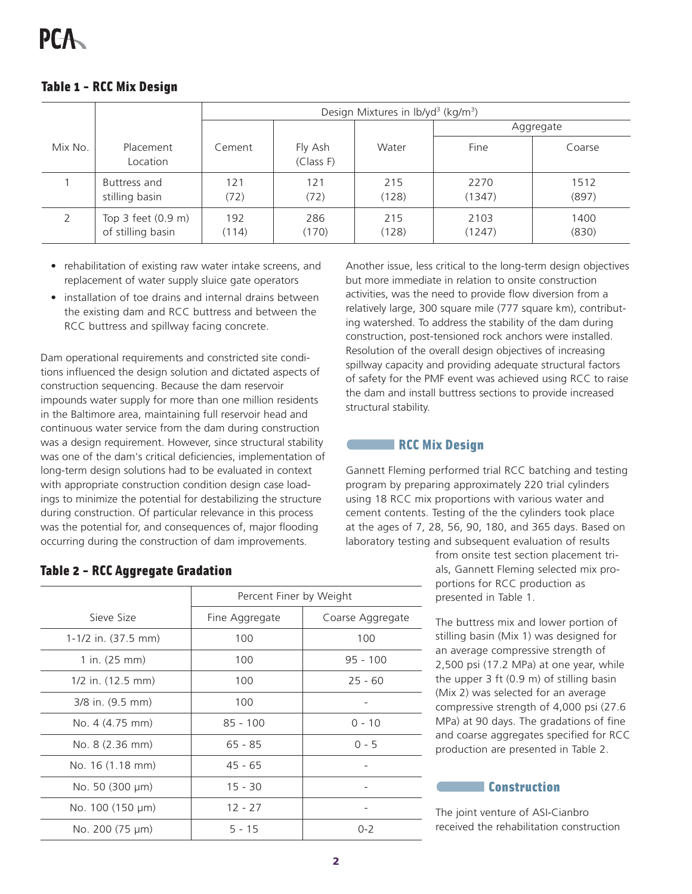|         |                                         | Design Mixtures in lb/yd <sup>3</sup> (kg/m <sup>3</sup> ) |                      |              |                |               |
|---------|-----------------------------------------|------------------------------------------------------------|----------------------|--------------|----------------|---------------|
|         |                                         |                                                            |                      |              | Aggregate      |               |
| Mix No. | Placement<br>Location                   | Cement                                                     | Fly Ash<br>(Class F) | Water        | Fine           | Coarse        |
|         | Buttress and<br>stilling basin          | 121<br>(72)                                                | 121<br>(72)          | 215<br>(128) | 2270<br>(1347) | 1512<br>(897) |
|         | Top 3 feet (0.9 m)<br>of stilling basin | 192<br>(114)                                               | 286<br>(170)         | 215<br>(128) | 2103<br>(1247) | 1400<br>(830) |

## Table 1 - RCC Mix Design

- rehabilitation of existing raw water intake screens, and replacement of water supply sluice gate operators
- installation of toe drains and internal drains between the existing dam and RCC buttress and between the RCC buttress and spillway facing concrete.

Dam operational requirements and constricted site conditions influenced the design solution and dictated aspects of construction sequencing. Because the dam reservoir impounds water supply for more than one million residents in the Baltimore area, maintaining full reservoir head and continuous water service from the dam during construction was a design requirement. However, since structural stability was one of the dam's critical deficiencies, implementation of long-term design solutions had to be evaluated in context with appropriate construction condition design case loadings to minimize the potential for destabilizing the structure during construction. Of particular relevance in this process was the potential for, and consequences of, major flooding occurring during the construction of dam improvements.

Another issue, less critical to the long-term design objectives but more immediate in relation to onsite construction activities, was the need to provide flow diversion from a relatively large, 300 square mile (777 square km), contributing watershed. To address the stability of the dam during construction, post-tensioned rock anchors were installed. Resolution of the overall design objectives of increasing spillway capacity and providing adequate structural factors of safety for the PMF event was achieved using RCC to raise the dam and install buttress sections to provide increased structural stability.

#### **RCC Mix Design**

Gannett Fleming performed trial RCC batching and testing program by preparing approximately 220 trial cylinders using 18 RCC mix proportions with various water and cement contents. Testing of the the cylinders took place at the ages of 7, 28, 56, 90, 180, and 365 days. Based on laboratory testing and subsequent evaluation of results

> from onsite test section placement trials, Gannett Fleming selected mix proportions for RCC production as presented in Table 1.

The buttress mix and lower portion of stilling basin (Mix 1) was designed for an average compressive strength of 2,500 psi (17.2 MPa) at one year, while the upper 3 ft (0.9 m) of stilling basin (Mix 2) was selected for an average compressive strength of 4,000 psi (27.6 MPa) at 90 days. The gradations of fine and coarse aggregates specified for RCC production are presented in Table 2.

### **Construction**

The joint venture of ASI-Cianbro received the rehabilitation construction

## Table 2 - RCC Aggregate Gradation

|                           | Percent Finer by Weight |                  |  |
|---------------------------|-------------------------|------------------|--|
| Sieve Size                | Fine Aggregate          | Coarse Aggregate |  |
| $1-1/2$ in. (37.5 mm)     | 100                     | 100              |  |
| 1 in. $(25 \, \text{mm})$ | 100                     | $95 - 100$       |  |
| $1/2$ in. $(12.5$ mm)     | 100                     | $25 - 60$        |  |
| 3/8 in. (9.5 mm)          | 100                     |                  |  |
| No. 4 (4.75 mm)           | $85 - 100$              | $0 - 10$         |  |
| No. 8 (2.36 mm)           | $65 - 85$               | $0 - 5$          |  |
| No. 16 (1.18 mm)          | $45 - 65$               |                  |  |
| No. 50 (300 µm)           | $15 - 30$               |                  |  |
| No. 100 (150 µm)          | $12 - 27$               |                  |  |
| No. 200 (75 µm)           | $5 - 15$                | $0 - 2$          |  |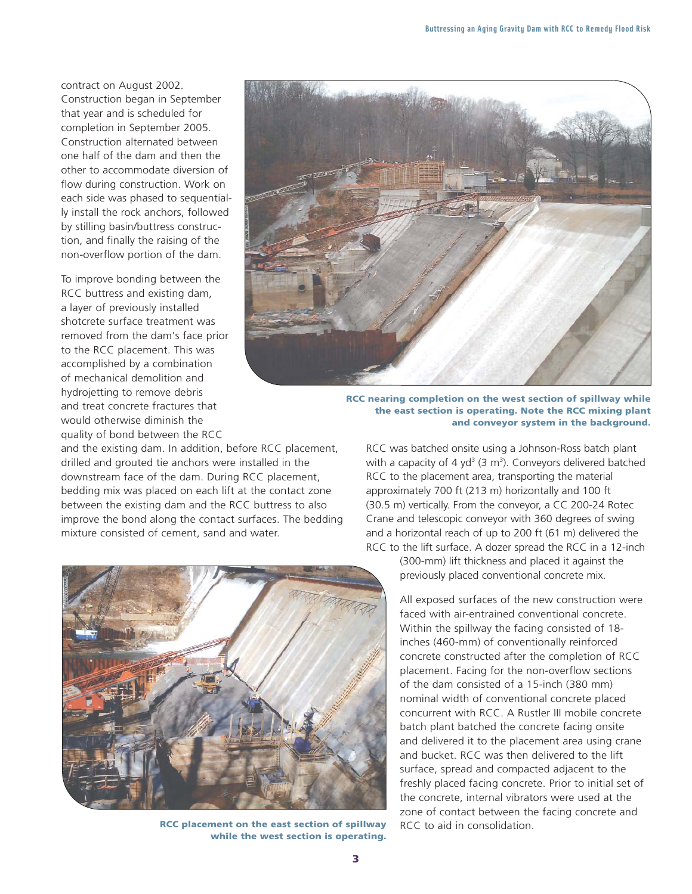contract on August 2002.

Construction began in September that year and is scheduled for completion in September 2005. Construction alternated between one half of the dam and then the other to accommodate diversion of flow during construction. Work on each side was phased to sequentially install the rock anchors, followed by stilling basin/buttress construction, and finally the raising of the non-overflow portion of the dam.

To improve bonding between the RCC buttress and existing dam, a layer of previously installed shotcrete surface treatment was removed from the dam's face prior to the RCC placement. This was accomplished by a combination of mechanical demolition and hydrojetting to remove debris and treat concrete fractures that would otherwise diminish the quality of bond between the RCC

and the existing dam. In addition, before RCC placement, drilled and grouted tie anchors were installed in the downstream face of the dam. During RCC placement, bedding mix was placed on each lift at the contact zone between the existing dam and the RCC buttress to also improve the bond along the contact surfaces. The bedding mixture consisted of cement, sand and water.



**RCC nearing completion on the west section of spillway while the east section is operating. Note the RCC mixing plant and conveyor system in the background.**

RCC was batched onsite using a Johnson-Ross batch plant with a capacity of 4 yd<sup>3</sup> (3 m<sup>3</sup>). Conveyors delivered batched RCC to the placement area, transporting the material approximately 700 ft (213 m) horizontally and 100 ft (30.5 m) vertically. From the conveyor, a CC 200-24 Rotec Crane and telescopic conveyor with 360 degrees of swing and a horizontal reach of up to 200 ft (61 m) delivered the RCC to the lift surface. A dozer spread the RCC in a 12-inch

> (300-mm) lift thickness and placed it against the previously placed conventional concrete mix.

All exposed surfaces of the new construction were faced with air-entrained conventional concrete. Within the spillway the facing consisted of 18 inches (460-mm) of conventionally reinforced concrete constructed after the completion of RCC placement. Facing for the non-overflow sections of the dam consisted of a 15-inch (380 mm) nominal width of conventional concrete placed concurrent with RCC. A Rustler III mobile concrete batch plant batched the concrete facing onsite and delivered it to the placement area using crane and bucket. RCC was then delivered to the lift surface, spread and compacted adjacent to the freshly placed facing concrete. Prior to initial set of the concrete, internal vibrators were used at the zone of contact between the facing concrete and RCC to aid in consolidation.



**RCC placement on the east section of spillway while the west section is operating.**